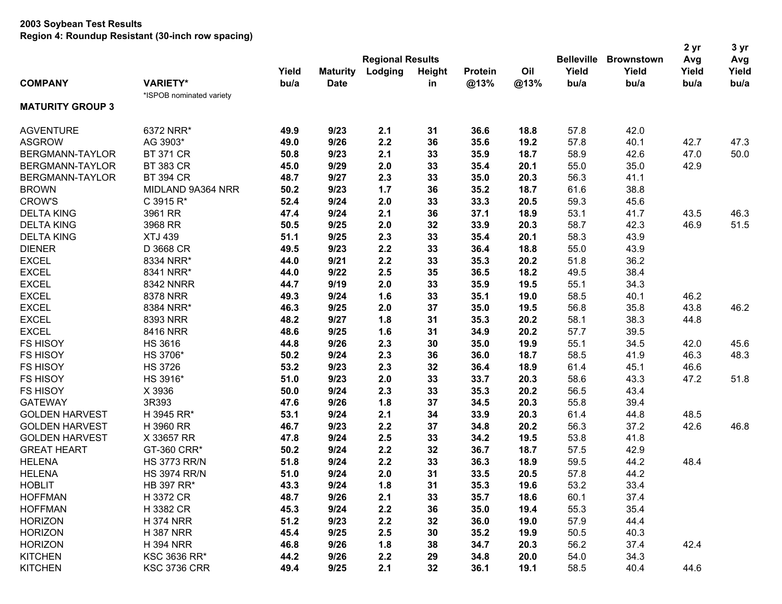|                         |                          |       |                 |                         |               |                |      |                   | <b>Brownstown</b> | 2 yr  | 3 yr<br>Avg |
|-------------------------|--------------------------|-------|-----------------|-------------------------|---------------|----------------|------|-------------------|-------------------|-------|-------------|
|                         |                          |       |                 | <b>Regional Results</b> |               |                |      | <b>Belleville</b> |                   | Avg   |             |
|                         |                          | Yield | <b>Maturity</b> | Lodging                 | <b>Height</b> | <b>Protein</b> | Oil  | Yield             | Yield             | Yield | Yield       |
| <b>COMPANY</b>          | <b>VARIETY*</b>          | bu/a  | <b>Date</b>     |                         | in            | @13%           | @13% | bu/a              | bu/a              | bu/a  | bu/a        |
|                         | *ISPOB nominated variety |       |                 |                         |               |                |      |                   |                   |       |             |
| <b>MATURITY GROUP 3</b> |                          |       |                 |                         |               |                |      |                   |                   |       |             |
| <b>AGVENTURE</b>        | 6372 NRR*                | 49.9  | 9/23            | 2.1                     | 31            | 36.6           | 18.8 | 57.8              | 42.0              |       |             |
| <b>ASGROW</b>           | AG 3903*                 | 49.0  | 9/26            | 2.2                     | 36            | 35.6           | 19.2 | 57.8              | 40.1              | 42.7  | 47.3        |
| BERGMANN-TAYLOR         | <b>BT 371 CR</b>         | 50.8  | 9/23            | 2.1                     | 33            | 35.9           | 18.7 | 58.9              | 42.6              | 47.0  | 50.0        |
| BERGMANN-TAYLOR         | <b>BT 383 CR</b>         | 45.0  | 9/29            | 2.0                     | 33            | 35.4           | 20.1 | 55.0              | 35.0              | 42.9  |             |
| BERGMANN-TAYLOR         | <b>BT 394 CR</b>         | 48.7  | 9/27            | 2.3                     | 33            | 35.0           | 20.3 | 56.3              | 41.1              |       |             |
| <b>BROWN</b>            | MIDLAND 9A364 NRR        | 50.2  | 9/23            | 1.7                     | 36            | 35.2           | 18.7 | 61.6              | 38.8              |       |             |
| <b>CROW'S</b>           | C 3915 R*                | 52.4  | 9/24            | 2.0                     | 33            | 33.3           | 20.5 | 59.3              | 45.6              |       |             |
| <b>DELTA KING</b>       | 3961 RR                  | 47.4  | 9/24            | 2.1                     | 36            | 37.1           | 18.9 | 53.1              | 41.7              | 43.5  | 46.3        |
| <b>DELTA KING</b>       | 3968 RR                  | 50.5  | 9/25            | 2.0                     | 32            | 33.9           | 20.3 | 58.7              | 42.3              | 46.9  | 51.5        |
| <b>DELTA KING</b>       | <b>XTJ 439</b>           | 51.1  | 9/25            | 2.3                     | 33            | 35.4           | 20.1 | 58.3              | 43.9              |       |             |
| <b>DIENER</b>           | D 3668 CR                | 49.5  | 9/23            | 2.2                     | 33            | 36.4           | 18.8 | 55.0              | 43.9              |       |             |
| <b>EXCEL</b>            | 8334 NRR*                | 44.0  | 9/21            | 2.2                     | 33            | 35.3           | 20.2 | 51.8              | 36.2              |       |             |
| <b>EXCEL</b>            | 8341 NRR*                | 44.0  | 9/22            | 2.5                     | 35            | 36.5           | 18.2 | 49.5              | 38.4              |       |             |
| <b>EXCEL</b>            | <b>8342 NNRR</b>         | 44.7  | 9/19            | 2.0                     | 33            | 35.9           | 19.5 | 55.1              | 34.3              |       |             |
| <b>EXCEL</b>            | 8378 NRR                 | 49.3  | 9/24            | 1.6                     | 33            | 35.1           | 19.0 | 58.5              | 40.1              | 46.2  |             |
| <b>EXCEL</b>            | 8384 NRR*                | 46.3  | 9/25            | 2.0                     | 37            | 35.0           | 19.5 | 56.8              | 35.8              | 43.8  | 46.2        |
| <b>EXCEL</b>            | 8393 NRR                 | 48.2  | 9/27            | 1.8                     | 31            | 35.3           | 20.2 | 58.1              | 38.3              | 44.8  |             |
| <b>EXCEL</b>            | 8416 NRR                 | 48.6  | 9/25            | 1.6                     | 31            | 34.9           | 20.2 | 57.7              | 39.5              |       |             |
| <b>FS HISOY</b>         | <b>HS 3616</b>           | 44.8  | 9/26            | 2.3                     | 30            | 35.0           | 19.9 | 55.1              | 34.5              | 42.0  | 45.6        |
| <b>FS HISOY</b>         | HS 3706*                 | 50.2  | 9/24            | 2.3                     | 36            | 36.0           | 18.7 | 58.5              | 41.9              | 46.3  | 48.3        |
| <b>FS HISOY</b>         | <b>HS 3726</b>           | 53.2  | 9/23            | 2.3                     | 32            | 36.4           | 18.9 | 61.4              | 45.1              | 46.6  |             |
| <b>FS HISOY</b>         | HS 3916*                 | 51.0  | 9/23            | 2.0                     | 33            | 33.7           | 20.3 | 58.6              | 43.3              | 47.2  | 51.8        |
| <b>FS HISOY</b>         | X 3936                   | 50.0  | 9/24            | 2.3                     | 33            | 35.3           | 20.2 | 56.5              | 43.4              |       |             |
| <b>GATEWAY</b>          | 3R393                    | 47.6  | 9/26            | 1.8                     | 37            | 34.5           | 20.3 | 55.8              | 39.4              |       |             |
| <b>GOLDEN HARVEST</b>   | H 3945 RR*               | 53.1  | 9/24            | 2.1                     | 34            | 33.9           | 20.3 | 61.4              | 44.8              | 48.5  |             |
| <b>GOLDEN HARVEST</b>   | H 3960 RR                | 46.7  | 9/23            | 2.2                     | 37            | 34.8           | 20.2 | 56.3              | 37.2              | 42.6  | 46.8        |
| <b>GOLDEN HARVEST</b>   | X 33657 RR               | 47.8  | 9/24            | 2.5                     | 33            | 34.2           | 19.5 | 53.8              | 41.8              |       |             |
| <b>GREAT HEART</b>      | GT-360 CRR*              | 50.2  | 9/24            | 2.2                     | 32            | 36.7           | 18.7 | 57.5              | 42.9              |       |             |
| <b>HELENA</b>           | <b>HS 3773 RR/N</b>      | 51.8  | 9/24            | 2.2                     | 33            | 36.3           | 18.9 | 59.5              | 44.2              | 48.4  |             |
| <b>HELENA</b>           | <b>HS 3974 RR/N</b>      | 51.0  | 9/24            | 2.0                     | 31            | 33.5           | 20.5 | 57.8              | 44.2              |       |             |
| <b>HOBLIT</b>           | HB 397 RR*               | 43.3  | 9/24            | 1.8                     | 31            | 35.3           | 19.6 | 53.2              | 33.4              |       |             |
| <b>HOFFMAN</b>          | H 3372 CR                | 48.7  | 9/26            | 2.1                     | 33            | 35.7           | 18.6 | 60.1              | 37.4              |       |             |
| <b>HOFFMAN</b>          | H 3382 CR                | 45.3  | 9/24            | 2.2                     | 36            | 35.0           | 19.4 | 55.3              | 35.4              |       |             |
| <b>HORIZON</b>          | <b>H 374 NRR</b>         | 51.2  | 9/23            | 2.2                     | 32            | 36.0           | 19.0 | 57.9              | 44.4              |       |             |
| <b>HORIZON</b>          | <b>H387 NRR</b>          | 45.4  | 9/25            | 2.5                     | 30            | 35.2           | 19.9 | 50.5              | 40.3              |       |             |
| <b>HORIZON</b>          | <b>H 394 NRR</b>         | 46.8  | 9/26            | 1.8                     | 38            | 34.7           | 20.3 | 56.2              | 37.4              | 42.4  |             |
| <b>KITCHEN</b>          | <b>KSC 3636 RR*</b>      | 44.2  | 9/26            | 2.2                     | 29            | 34.8           | 20.0 | 54.0              | 34.3              |       |             |
| <b>KITCHEN</b>          | <b>KSC 3736 CRR</b>      | 49.4  | 9/25            | 2.1                     | 32            | 36.1           | 19.1 | 58.5              | 40.4              | 44.6  |             |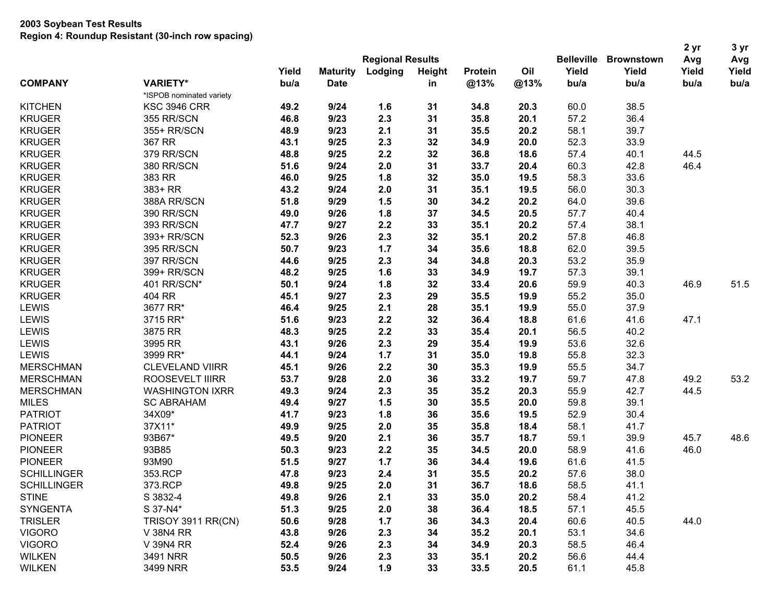|                    |                           |                         |                 |         |               |                |      |                   |                   | 2 yr  | 3 yr  |
|--------------------|---------------------------|-------------------------|-----------------|---------|---------------|----------------|------|-------------------|-------------------|-------|-------|
|                    |                           | <b>Regional Results</b> |                 |         |               |                |      | <b>Belleville</b> | <b>Brownstown</b> | Avg   | Avg   |
|                    |                           | Yield                   | <b>Maturity</b> | Lodging | <b>Height</b> | <b>Protein</b> | Oil  | Yield             | Yield             | Yield | Yield |
| <b>COMPANY</b>     | <b>VARIETY*</b>           | bu/a                    | <b>Date</b>     |         | in            | @13%           | @13% | bu/a              | bu/a              | bu/a  | bu/a  |
|                    | *ISPOB nominated variety  |                         |                 |         |               |                |      |                   |                   |       |       |
| <b>KITCHEN</b>     | <b>KSC 3946 CRR</b>       | 49.2                    | 9/24            | 1.6     | 31            | 34.8           | 20.3 | 60.0              | 38.5              |       |       |
| <b>KRUGER</b>      | 355 RR/SCN                | 46.8                    | 9/23            | 2.3     | 31            | 35.8           | 20.1 | 57.2              | 36.4              |       |       |
| <b>KRUGER</b>      | 355+ RR/SCN               | 48.9                    | 9/23            | 2.1     | 31            | 35.5           | 20.2 | 58.1              | 39.7              |       |       |
| <b>KRUGER</b>      | 367 RR                    | 43.1                    | 9/25            | 2.3     | 32            | 34.9           | 20.0 | 52.3              | 33.9              |       |       |
| <b>KRUGER</b>      | 379 RR/SCN                | 48.8                    | 9/25            | 2.2     | 32            | 36.8           | 18.6 | 57.4              | 40.1              | 44.5  |       |
| <b>KRUGER</b>      | 380 RR/SCN                | 51.6                    | 9/24            | 2.0     | 31            | 33.7           | 20.4 | 60.3              | 42.8              | 46.4  |       |
| <b>KRUGER</b>      | 383 RR                    | 46.0                    | 9/25            | 1.8     | 32            | 35.0           | 19.5 | 58.3              | 33.6              |       |       |
| <b>KRUGER</b>      | $383+RR$                  | 43.2                    | 9/24            | 2.0     | 31            | 35.1           | 19.5 | 56.0              | 30.3              |       |       |
| <b>KRUGER</b>      | 388A RR/SCN               | 51.8                    | 9/29            | 1.5     | 30            | 34.2           | 20.2 | 64.0              | 39.6              |       |       |
| <b>KRUGER</b>      | 390 RR/SCN                | 49.0                    | 9/26            | 1.8     | 37            | 34.5           | 20.5 | 57.7              | 40.4              |       |       |
| <b>KRUGER</b>      | 393 RR/SCN                | 47.7                    | 9/27            | 2.2     | 33            | 35.1           | 20.2 | 57.4              | 38.1              |       |       |
| <b>KRUGER</b>      | 393+ RR/SCN               | 52.3                    | 9/26            | 2.3     | 32            | 35.1           | 20.2 | 57.8              | 46.8              |       |       |
| <b>KRUGER</b>      | 395 RR/SCN                | 50.7                    | 9/23            | 1.7     | 34            | 35.6           | 18.8 | 62.0              | 39.5              |       |       |
| <b>KRUGER</b>      | 397 RR/SCN                | 44.6                    | 9/25            | 2.3     | 34            | 34.8           | 20.3 | 53.2              | 35.9              |       |       |
| <b>KRUGER</b>      | 399+ RR/SCN               | 48.2                    | 9/25            | 1.6     | 33            | 34.9           | 19.7 | 57.3              | 39.1              |       |       |
| <b>KRUGER</b>      | 401 RR/SCN*               | 50.1                    | 9/24            | 1.8     | 32            | 33.4           | 20.6 | 59.9              | 40.3              | 46.9  | 51.5  |
| <b>KRUGER</b>      | 404 RR                    | 45.1                    | 9/27            | 2.3     | 29            | 35.5           | 19.9 | 55.2              | 35.0              |       |       |
| LEWIS              | 3677 RR*                  | 46.4                    | 9/25            | 2.1     | 28            | 35.1           | 19.9 | 55.0              | 37.9              |       |       |
| <b>LEWIS</b>       | 3715 RR*                  | 51.6                    | 9/23            | 2.2     | 32            | 36.4           | 18.8 | 61.6              | 41.6              | 47.1  |       |
| <b>LEWIS</b>       | 3875 RR                   | 48.3                    | 9/25            | 2.2     | 33            | 35.4           | 20.1 | 56.5              | 40.2              |       |       |
| <b>LEWIS</b>       | 3995 RR                   | 43.1                    | 9/26            | 2.3     | 29            | 35.4           | 19.9 | 53.6              | 32.6              |       |       |
| <b>LEWIS</b>       | 3999 RR*                  | 44.1                    | 9/24            | 1.7     | 31            | 35.0           | 19.8 | 55.8              | 32.3              |       |       |
| <b>MERSCHMAN</b>   | <b>CLEVELAND VIIRR</b>    | 45.1                    | 9/26            | 2.2     | 30            | 35.3           | 19.9 | 55.5              | 34.7              |       |       |
| <b>MERSCHMAN</b>   | ROOSEVELT IIIRR           | 53.7                    | 9/28            | 2.0     | 36            | 33.2           | 19.7 | 59.7              | 47.8              | 49.2  | 53.2  |
| <b>MERSCHMAN</b>   | <b>WASHINGTON IXRR</b>    | 49.3                    | 9/24            | 2.3     | 35            | 35.2           | 20.3 | 55.9              | 42.7              | 44.5  |       |
| <b>MILES</b>       | <b>SC ABRAHAM</b>         | 49.4                    | 9/27            | 1.5     | 30            | 35.5           | 20.0 | 59.8              | 39.1              |       |       |
| <b>PATRIOT</b>     | 34X09*                    | 41.7                    | 9/23            | 1.8     | 36            | 35.6           | 19.5 | 52.9              | 30.4              |       |       |
| <b>PATRIOT</b>     | 37X11*                    | 49.9                    | 9/25            | 2.0     | 35            | 35.8           | 18.4 | 58.1              | 41.7              |       |       |
| <b>PIONEER</b>     | 93B67*                    | 49.5                    | 9/20            | 2.1     | 36            | 35.7           | 18.7 | 59.1              | 39.9              | 45.7  | 48.6  |
| <b>PIONEER</b>     | 93B85                     | 50.3                    | 9/23            | 2.2     | 35            | 34.5           | 20.0 | 58.9              | 41.6              | 46.0  |       |
| <b>PIONEER</b>     | 93M90                     | 51.5                    | 9/27            | 1.7     | 36            | 34.4           | 19.6 | 61.6              | 41.5              |       |       |
| <b>SCHILLINGER</b> | 353.RCP                   | 47.8                    | 9/23            | 2.4     | 31            | 35.5           | 20.2 | 57.6              | 38.0              |       |       |
| <b>SCHILLINGER</b> | 373.RCP                   | 49.8                    | 9/25            | 2.0     | 31            | 36.7           | 18.6 | 58.5              | 41.1              |       |       |
| <b>STINE</b>       | S 3832-4                  | 49.8                    | 9/26            | 2.1     | 33            | 35.0           | 20.2 | 58.4              | 41.2              |       |       |
| <b>SYNGENTA</b>    | S 37-N4*                  | 51.3                    | 9/25            | 2.0     | 38            | 36.4           | 18.5 | 57.1              | 45.5              |       |       |
| <b>TRISLER</b>     | <b>TRISOY 3911 RR(CN)</b> | 50.6                    | 9/28            | 1.7     | 36            | 34.3           | 20.4 | 60.6              | 40.5              | 44.0  |       |
| <b>VIGORO</b>      | V 38N4 RR                 | 43.8                    | 9/26            | 2.3     | 34            | 35.2           | 20.1 | 53.1              | 34.6              |       |       |
| <b>VIGORO</b>      | V 39N4 RR                 | 52.4                    | 9/26            | 2.3     | 34            | 34.9           | 20.3 | 58.5              | 46.4              |       |       |
| <b>WILKEN</b>      | 3491 NRR                  | 50.5                    | 9/26            | 2.3     | 33            | 35.1           | 20.2 | 56.6              | 44.4              |       |       |
| <b>WILKEN</b>      | 3499 NRR                  | 53.5                    | 9/24            | 1.9     | 33            | 33.5           | 20.5 | 61.1              | 45.8              |       |       |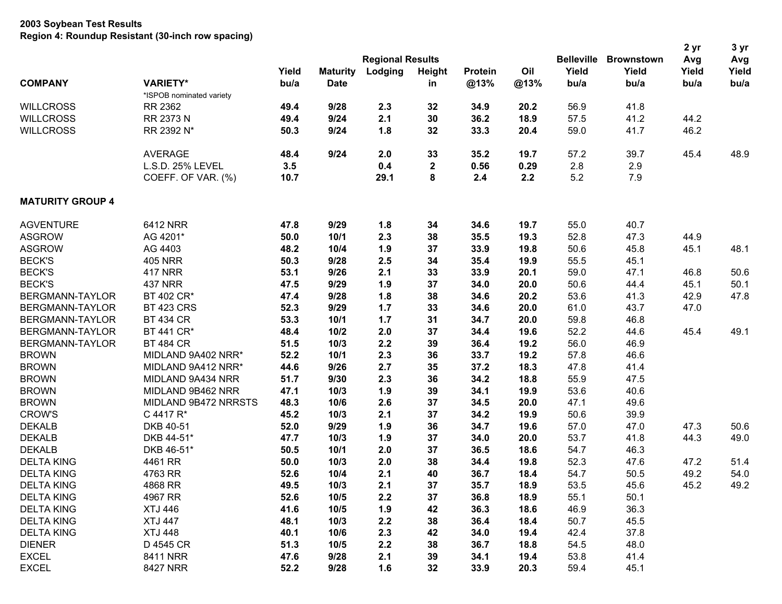| <b>Regional Results</b><br><b>Belleville</b><br><b>Brownstown</b><br>Avg<br>Yield<br>Lodging<br>Oil<br>Yield<br>Yield<br>Yield<br><b>Maturity</b><br><b>Height</b><br><b>Protein</b><br><b>COMPANY</b><br><b>VARIETY*</b><br>bu/a<br>@13%<br>@13%<br><b>Date</b><br>bu/a<br>bu/a<br>bu/a<br>in<br>*ISPOB nominated variety<br>RR 2362<br>9/28<br>56.9<br>41.8<br><b>WILLCROSS</b><br>49.4<br>2.3<br>32<br>34.9<br>20.2<br>RR 2373 N<br>9/24<br>2.1<br>30<br>36.2<br>18.9<br>57.5<br>41.2<br><b>WILLCROSS</b><br>49.4<br>44.2<br><b>WILLCROSS</b><br>RR 2392 N*<br>1.8<br>32<br>46.2<br>50.3<br>9/24<br>33.3<br>20.4<br>59.0<br>41.7<br>9/24<br><b>AVERAGE</b><br>48.4<br>2.0<br>33<br>35.2<br>19.7<br>57.2<br>39.7<br>45.4<br>L.S.D. 25% LEVEL<br>3.5<br>0.4<br>$\mathbf 2$<br>2.8<br>2.9<br>0.56<br>0.29<br>8<br>5.2<br>7.9<br>COEFF. OF VAR. (%)<br>10.7<br>29.1<br>2.4<br>2.2<br><b>MATURITY GROUP 4</b><br>6412 NRR<br>9/29<br><b>AGVENTURE</b><br>47.8<br>1.8<br>34<br>34.6<br>19.7<br>55.0<br>40.7<br><b>ASGROW</b><br>AG 4201*<br>50.0<br>2.3<br>52.8<br>10/1<br>38<br>35.5<br>19.3<br>47.3<br>44.9<br><b>ASGROW</b><br>AG 4403<br>48.2<br>10/4<br>1.9<br>37<br>33.9<br>19.8<br>50.6<br>45.8<br>45.1<br><b>BECK'S</b><br><b>405 NRR</b><br>2.5<br>50.3<br>9/28<br>34<br>35.4<br>19.9<br>55.5<br>45.1<br><b>BECK'S</b><br><b>417 NRR</b><br>2.1<br>53.1<br>9/26<br>33<br>33.9<br>20.1<br>59.0<br>47.1<br>46.8<br><b>BECK'S</b><br><b>437 NRR</b><br>47.5<br>9/29<br>1.9<br>37<br>34.0<br>20.0<br>50.6<br>44.4<br>45.1<br>BT 402 CR*<br>1.8<br>38<br>BERGMANN-TAYLOR<br>47.4<br>9/28<br>34.6<br>20.2<br>53.6<br>41.3<br>42.9<br><b>BT 423 CRS</b><br>9/29<br>BERGMANN-TAYLOR<br>52.3<br>1.7<br>33<br>34.6<br>20.0<br>61.0<br>43.7<br>47.0<br><b>BT 434 CR</b><br>BERGMANN-TAYLOR<br>53.3<br>10/1<br>1.7<br>31<br>34.7<br>20.0<br>59.8<br>46.8<br>BERGMANN-TAYLOR<br>BT 441 CR*<br>48.4<br>10/2<br>2.0<br>37<br>34.4<br>19.6<br>52.2<br>44.6<br>45.4<br>2.2<br>56.0<br>BERGMANN-TAYLOR<br><b>BT 484 CR</b><br>51.5<br>10/3<br>39<br>36.4<br>19.2<br>46.9<br><b>BROWN</b><br>2.3<br>MIDLAND 9A402 NRR*<br>52.2<br>10/1<br>36<br>33.7<br>19.2<br>57.8<br>46.6 |              |                    |      |      |     |    |      |      |      |      | 2 yr | 3 yr  |
|-----------------------------------------------------------------------------------------------------------------------------------------------------------------------------------------------------------------------------------------------------------------------------------------------------------------------------------------------------------------------------------------------------------------------------------------------------------------------------------------------------------------------------------------------------------------------------------------------------------------------------------------------------------------------------------------------------------------------------------------------------------------------------------------------------------------------------------------------------------------------------------------------------------------------------------------------------------------------------------------------------------------------------------------------------------------------------------------------------------------------------------------------------------------------------------------------------------------------------------------------------------------------------------------------------------------------------------------------------------------------------------------------------------------------------------------------------------------------------------------------------------------------------------------------------------------------------------------------------------------------------------------------------------------------------------------------------------------------------------------------------------------------------------------------------------------------------------------------------------------------------------------------------------------------------------------------------------------------------------------------------------------------------------------------------------------------------------------------------------------------------------------------------------------|--------------|--------------------|------|------|-----|----|------|------|------|------|------|-------|
|                                                                                                                                                                                                                                                                                                                                                                                                                                                                                                                                                                                                                                                                                                                                                                                                                                                                                                                                                                                                                                                                                                                                                                                                                                                                                                                                                                                                                                                                                                                                                                                                                                                                                                                                                                                                                                                                                                                                                                                                                                                                                                                                                                 |              |                    |      |      |     |    |      |      |      |      |      | Avg   |
|                                                                                                                                                                                                                                                                                                                                                                                                                                                                                                                                                                                                                                                                                                                                                                                                                                                                                                                                                                                                                                                                                                                                                                                                                                                                                                                                                                                                                                                                                                                                                                                                                                                                                                                                                                                                                                                                                                                                                                                                                                                                                                                                                                 |              |                    |      |      |     |    |      |      |      |      |      | Yield |
|                                                                                                                                                                                                                                                                                                                                                                                                                                                                                                                                                                                                                                                                                                                                                                                                                                                                                                                                                                                                                                                                                                                                                                                                                                                                                                                                                                                                                                                                                                                                                                                                                                                                                                                                                                                                                                                                                                                                                                                                                                                                                                                                                                 |              |                    |      |      |     |    |      |      |      |      |      | bu/a  |
|                                                                                                                                                                                                                                                                                                                                                                                                                                                                                                                                                                                                                                                                                                                                                                                                                                                                                                                                                                                                                                                                                                                                                                                                                                                                                                                                                                                                                                                                                                                                                                                                                                                                                                                                                                                                                                                                                                                                                                                                                                                                                                                                                                 |              |                    |      |      |     |    |      |      |      |      |      |       |
|                                                                                                                                                                                                                                                                                                                                                                                                                                                                                                                                                                                                                                                                                                                                                                                                                                                                                                                                                                                                                                                                                                                                                                                                                                                                                                                                                                                                                                                                                                                                                                                                                                                                                                                                                                                                                                                                                                                                                                                                                                                                                                                                                                 |              |                    |      |      |     |    |      |      |      |      |      |       |
|                                                                                                                                                                                                                                                                                                                                                                                                                                                                                                                                                                                                                                                                                                                                                                                                                                                                                                                                                                                                                                                                                                                                                                                                                                                                                                                                                                                                                                                                                                                                                                                                                                                                                                                                                                                                                                                                                                                                                                                                                                                                                                                                                                 |              |                    |      |      |     |    |      |      |      |      |      |       |
|                                                                                                                                                                                                                                                                                                                                                                                                                                                                                                                                                                                                                                                                                                                                                                                                                                                                                                                                                                                                                                                                                                                                                                                                                                                                                                                                                                                                                                                                                                                                                                                                                                                                                                                                                                                                                                                                                                                                                                                                                                                                                                                                                                 |              |                    |      |      |     |    |      |      |      |      |      |       |
|                                                                                                                                                                                                                                                                                                                                                                                                                                                                                                                                                                                                                                                                                                                                                                                                                                                                                                                                                                                                                                                                                                                                                                                                                                                                                                                                                                                                                                                                                                                                                                                                                                                                                                                                                                                                                                                                                                                                                                                                                                                                                                                                                                 |              |                    |      |      |     |    |      |      |      |      |      | 48.9  |
|                                                                                                                                                                                                                                                                                                                                                                                                                                                                                                                                                                                                                                                                                                                                                                                                                                                                                                                                                                                                                                                                                                                                                                                                                                                                                                                                                                                                                                                                                                                                                                                                                                                                                                                                                                                                                                                                                                                                                                                                                                                                                                                                                                 |              |                    |      |      |     |    |      |      |      |      |      |       |
|                                                                                                                                                                                                                                                                                                                                                                                                                                                                                                                                                                                                                                                                                                                                                                                                                                                                                                                                                                                                                                                                                                                                                                                                                                                                                                                                                                                                                                                                                                                                                                                                                                                                                                                                                                                                                                                                                                                                                                                                                                                                                                                                                                 |              |                    |      |      |     |    |      |      |      |      |      |       |
|                                                                                                                                                                                                                                                                                                                                                                                                                                                                                                                                                                                                                                                                                                                                                                                                                                                                                                                                                                                                                                                                                                                                                                                                                                                                                                                                                                                                                                                                                                                                                                                                                                                                                                                                                                                                                                                                                                                                                                                                                                                                                                                                                                 |              |                    |      |      |     |    |      |      |      |      |      |       |
|                                                                                                                                                                                                                                                                                                                                                                                                                                                                                                                                                                                                                                                                                                                                                                                                                                                                                                                                                                                                                                                                                                                                                                                                                                                                                                                                                                                                                                                                                                                                                                                                                                                                                                                                                                                                                                                                                                                                                                                                                                                                                                                                                                 |              |                    |      |      |     |    |      |      |      |      |      |       |
|                                                                                                                                                                                                                                                                                                                                                                                                                                                                                                                                                                                                                                                                                                                                                                                                                                                                                                                                                                                                                                                                                                                                                                                                                                                                                                                                                                                                                                                                                                                                                                                                                                                                                                                                                                                                                                                                                                                                                                                                                                                                                                                                                                 |              |                    |      |      |     |    |      |      |      |      |      |       |
|                                                                                                                                                                                                                                                                                                                                                                                                                                                                                                                                                                                                                                                                                                                                                                                                                                                                                                                                                                                                                                                                                                                                                                                                                                                                                                                                                                                                                                                                                                                                                                                                                                                                                                                                                                                                                                                                                                                                                                                                                                                                                                                                                                 |              |                    |      |      |     |    |      |      |      |      |      | 48.1  |
|                                                                                                                                                                                                                                                                                                                                                                                                                                                                                                                                                                                                                                                                                                                                                                                                                                                                                                                                                                                                                                                                                                                                                                                                                                                                                                                                                                                                                                                                                                                                                                                                                                                                                                                                                                                                                                                                                                                                                                                                                                                                                                                                                                 |              |                    |      |      |     |    |      |      |      |      |      |       |
|                                                                                                                                                                                                                                                                                                                                                                                                                                                                                                                                                                                                                                                                                                                                                                                                                                                                                                                                                                                                                                                                                                                                                                                                                                                                                                                                                                                                                                                                                                                                                                                                                                                                                                                                                                                                                                                                                                                                                                                                                                                                                                                                                                 |              |                    |      |      |     |    |      |      |      |      |      | 50.6  |
|                                                                                                                                                                                                                                                                                                                                                                                                                                                                                                                                                                                                                                                                                                                                                                                                                                                                                                                                                                                                                                                                                                                                                                                                                                                                                                                                                                                                                                                                                                                                                                                                                                                                                                                                                                                                                                                                                                                                                                                                                                                                                                                                                                 |              |                    |      |      |     |    |      |      |      |      |      | 50.1  |
|                                                                                                                                                                                                                                                                                                                                                                                                                                                                                                                                                                                                                                                                                                                                                                                                                                                                                                                                                                                                                                                                                                                                                                                                                                                                                                                                                                                                                                                                                                                                                                                                                                                                                                                                                                                                                                                                                                                                                                                                                                                                                                                                                                 |              |                    |      |      |     |    |      |      |      |      |      | 47.8  |
|                                                                                                                                                                                                                                                                                                                                                                                                                                                                                                                                                                                                                                                                                                                                                                                                                                                                                                                                                                                                                                                                                                                                                                                                                                                                                                                                                                                                                                                                                                                                                                                                                                                                                                                                                                                                                                                                                                                                                                                                                                                                                                                                                                 |              |                    |      |      |     |    |      |      |      |      |      |       |
|                                                                                                                                                                                                                                                                                                                                                                                                                                                                                                                                                                                                                                                                                                                                                                                                                                                                                                                                                                                                                                                                                                                                                                                                                                                                                                                                                                                                                                                                                                                                                                                                                                                                                                                                                                                                                                                                                                                                                                                                                                                                                                                                                                 |              |                    |      |      |     |    |      |      |      |      |      |       |
|                                                                                                                                                                                                                                                                                                                                                                                                                                                                                                                                                                                                                                                                                                                                                                                                                                                                                                                                                                                                                                                                                                                                                                                                                                                                                                                                                                                                                                                                                                                                                                                                                                                                                                                                                                                                                                                                                                                                                                                                                                                                                                                                                                 |              |                    |      |      |     |    |      |      |      |      |      | 49.1  |
|                                                                                                                                                                                                                                                                                                                                                                                                                                                                                                                                                                                                                                                                                                                                                                                                                                                                                                                                                                                                                                                                                                                                                                                                                                                                                                                                                                                                                                                                                                                                                                                                                                                                                                                                                                                                                                                                                                                                                                                                                                                                                                                                                                 |              |                    |      |      |     |    |      |      |      |      |      |       |
|                                                                                                                                                                                                                                                                                                                                                                                                                                                                                                                                                                                                                                                                                                                                                                                                                                                                                                                                                                                                                                                                                                                                                                                                                                                                                                                                                                                                                                                                                                                                                                                                                                                                                                                                                                                                                                                                                                                                                                                                                                                                                                                                                                 |              |                    |      |      |     |    |      |      |      |      |      |       |
|                                                                                                                                                                                                                                                                                                                                                                                                                                                                                                                                                                                                                                                                                                                                                                                                                                                                                                                                                                                                                                                                                                                                                                                                                                                                                                                                                                                                                                                                                                                                                                                                                                                                                                                                                                                                                                                                                                                                                                                                                                                                                                                                                                 | <b>BROWN</b> | MIDLAND 9A412 NRR* | 44.6 | 9/26 | 2.7 | 35 | 37.2 | 18.3 | 47.8 | 41.4 |      |       |
| <b>BROWN</b><br>2.3<br>36<br>34.2<br>MIDLAND 9A434 NRR<br>51.7<br>9/30<br>18.8<br>55.9<br>47.5                                                                                                                                                                                                                                                                                                                                                                                                                                                                                                                                                                                                                                                                                                                                                                                                                                                                                                                                                                                                                                                                                                                                                                                                                                                                                                                                                                                                                                                                                                                                                                                                                                                                                                                                                                                                                                                                                                                                                                                                                                                                  |              |                    |      |      |     |    |      |      |      |      |      |       |
| <b>BROWN</b><br>34.1<br>MIDLAND 9B462 NRR<br>47.1<br>10/3<br>1.9<br>39<br>19.9<br>53.6<br>40.6                                                                                                                                                                                                                                                                                                                                                                                                                                                                                                                                                                                                                                                                                                                                                                                                                                                                                                                                                                                                                                                                                                                                                                                                                                                                                                                                                                                                                                                                                                                                                                                                                                                                                                                                                                                                                                                                                                                                                                                                                                                                  |              |                    |      |      |     |    |      |      |      |      |      |       |
| <b>BROWN</b><br>2.6<br>MIDLAND 9B472 NRRSTS<br>48.3<br>10/6<br>37<br>34.5<br>20.0<br>47.1<br>49.6                                                                                                                                                                                                                                                                                                                                                                                                                                                                                                                                                                                                                                                                                                                                                                                                                                                                                                                                                                                                                                                                                                                                                                                                                                                                                                                                                                                                                                                                                                                                                                                                                                                                                                                                                                                                                                                                                                                                                                                                                                                               |              |                    |      |      |     |    |      |      |      |      |      |       |
| <b>CROW'S</b><br>2.1<br>C 4417 R*<br>45.2<br>10/3<br>37<br>34.2<br>19.9<br>50.6<br>39.9                                                                                                                                                                                                                                                                                                                                                                                                                                                                                                                                                                                                                                                                                                                                                                                                                                                                                                                                                                                                                                                                                                                                                                                                                                                                                                                                                                                                                                                                                                                                                                                                                                                                                                                                                                                                                                                                                                                                                                                                                                                                         |              |                    |      |      |     |    |      |      |      |      |      |       |
| <b>DEKALB</b><br>DKB 40-51<br>52.0<br>9/29<br>1.9<br>36<br>34.7<br>19.6<br>57.0<br>47.0<br>47.3                                                                                                                                                                                                                                                                                                                                                                                                                                                                                                                                                                                                                                                                                                                                                                                                                                                                                                                                                                                                                                                                                                                                                                                                                                                                                                                                                                                                                                                                                                                                                                                                                                                                                                                                                                                                                                                                                                                                                                                                                                                                 |              |                    |      |      |     |    |      |      |      |      |      | 50.6  |
| <b>DEKALB</b><br>53.7<br>DKB 44-51*<br>47.7<br>10/3<br>1.9<br>37<br>34.0<br>20.0<br>41.8<br>44.3                                                                                                                                                                                                                                                                                                                                                                                                                                                                                                                                                                                                                                                                                                                                                                                                                                                                                                                                                                                                                                                                                                                                                                                                                                                                                                                                                                                                                                                                                                                                                                                                                                                                                                                                                                                                                                                                                                                                                                                                                                                                |              |                    |      |      |     |    |      |      |      |      |      | 49.0  |
| <b>DEKALB</b><br>DKB 46-51*<br>50.5<br>10/1<br>2.0<br>37<br>36.5<br>18.6<br>54.7<br>46.3                                                                                                                                                                                                                                                                                                                                                                                                                                                                                                                                                                                                                                                                                                                                                                                                                                                                                                                                                                                                                                                                                                                                                                                                                                                                                                                                                                                                                                                                                                                                                                                                                                                                                                                                                                                                                                                                                                                                                                                                                                                                        |              |                    |      |      |     |    |      |      |      |      |      |       |
| <b>DELTA KING</b><br>4461 RR<br>50.0<br>10/3<br>2.0<br>38<br>34.4<br>19.8<br>52.3<br>47.6<br>47.2                                                                                                                                                                                                                                                                                                                                                                                                                                                                                                                                                                                                                                                                                                                                                                                                                                                                                                                                                                                                                                                                                                                                                                                                                                                                                                                                                                                                                                                                                                                                                                                                                                                                                                                                                                                                                                                                                                                                                                                                                                                               |              |                    |      |      |     |    |      |      |      |      |      | 51.4  |
| <b>DELTA KING</b><br>2.1<br>54.7<br>4763 RR<br>52.6<br>10/4<br>40<br>36.7<br>18.4<br>50.5<br>49.2                                                                                                                                                                                                                                                                                                                                                                                                                                                                                                                                                                                                                                                                                                                                                                                                                                                                                                                                                                                                                                                                                                                                                                                                                                                                                                                                                                                                                                                                                                                                                                                                                                                                                                                                                                                                                                                                                                                                                                                                                                                               |              |                    |      |      |     |    |      |      |      |      |      | 54.0  |
| 2.1<br><b>DELTA KING</b><br>4868 RR<br>49.5<br>10/3<br>37<br>35.7<br>18.9<br>53.5<br>45.6<br>45.2                                                                                                                                                                                                                                                                                                                                                                                                                                                                                                                                                                                                                                                                                                                                                                                                                                                                                                                                                                                                                                                                                                                                                                                                                                                                                                                                                                                                                                                                                                                                                                                                                                                                                                                                                                                                                                                                                                                                                                                                                                                               |              |                    |      |      |     |    |      |      |      |      |      | 49.2  |
| 4967 RR<br>2.2<br><b>DELTA KING</b><br>52.6<br>10/5<br>37<br>36.8<br>18.9<br>55.1<br>50.1                                                                                                                                                                                                                                                                                                                                                                                                                                                                                                                                                                                                                                                                                                                                                                                                                                                                                                                                                                                                                                                                                                                                                                                                                                                                                                                                                                                                                                                                                                                                                                                                                                                                                                                                                                                                                                                                                                                                                                                                                                                                       |              |                    |      |      |     |    |      |      |      |      |      |       |
| <b>DELTA KING</b><br><b>XTJ 446</b><br>41.6<br>1.9<br>36.3<br>46.9<br>36.3<br>10/5<br>42<br>18.6                                                                                                                                                                                                                                                                                                                                                                                                                                                                                                                                                                                                                                                                                                                                                                                                                                                                                                                                                                                                                                                                                                                                                                                                                                                                                                                                                                                                                                                                                                                                                                                                                                                                                                                                                                                                                                                                                                                                                                                                                                                                |              |                    |      |      |     |    |      |      |      |      |      |       |
| <b>XTJ 447</b><br>48.1<br>10/3<br>2.2<br><b>DELTA KING</b><br>38<br>36.4<br>18.4<br>50.7<br>45.5                                                                                                                                                                                                                                                                                                                                                                                                                                                                                                                                                                                                                                                                                                                                                                                                                                                                                                                                                                                                                                                                                                                                                                                                                                                                                                                                                                                                                                                                                                                                                                                                                                                                                                                                                                                                                                                                                                                                                                                                                                                                |              |                    |      |      |     |    |      |      |      |      |      |       |
| <b>DELTA KING</b><br><b>XTJ 448</b><br>40.1<br>2.3<br>34.0<br>42.4<br>37.8<br>10/6<br>42<br>19.4                                                                                                                                                                                                                                                                                                                                                                                                                                                                                                                                                                                                                                                                                                                                                                                                                                                                                                                                                                                                                                                                                                                                                                                                                                                                                                                                                                                                                                                                                                                                                                                                                                                                                                                                                                                                                                                                                                                                                                                                                                                                |              |                    |      |      |     |    |      |      |      |      |      |       |
| <b>DIENER</b><br>D 4545 CR<br>51.3<br>10/5<br>2.2<br>36.7<br>54.5<br>38<br>18.8<br>48.0                                                                                                                                                                                                                                                                                                                                                                                                                                                                                                                                                                                                                                                                                                                                                                                                                                                                                                                                                                                                                                                                                                                                                                                                                                                                                                                                                                                                                                                                                                                                                                                                                                                                                                                                                                                                                                                                                                                                                                                                                                                                         |              |                    |      |      |     |    |      |      |      |      |      |       |
| <b>EXCEL</b><br>8411 NRR<br>9/28<br>2.1<br>34.1<br>47.6<br>39<br>19.4<br>53.8<br>41.4                                                                                                                                                                                                                                                                                                                                                                                                                                                                                                                                                                                                                                                                                                                                                                                                                                                                                                                                                                                                                                                                                                                                                                                                                                                                                                                                                                                                                                                                                                                                                                                                                                                                                                                                                                                                                                                                                                                                                                                                                                                                           |              |                    |      |      |     |    |      |      |      |      |      |       |
| <b>EXCEL</b><br>8427 NRR<br>52.2<br>9/28<br>1.6<br>32<br>33.9<br>20.3<br>59.4<br>45.1                                                                                                                                                                                                                                                                                                                                                                                                                                                                                                                                                                                                                                                                                                                                                                                                                                                                                                                                                                                                                                                                                                                                                                                                                                                                                                                                                                                                                                                                                                                                                                                                                                                                                                                                                                                                                                                                                                                                                                                                                                                                           |              |                    |      |      |     |    |      |      |      |      |      |       |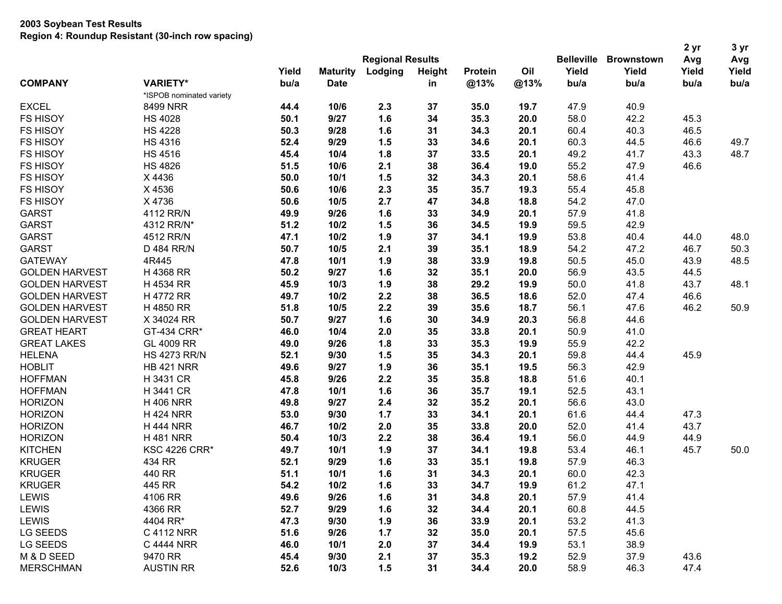|                                                                                                     | 2 yr<br>3 yr   |
|-----------------------------------------------------------------------------------------------------|----------------|
| <b>Regional Results</b><br><b>Belleville</b><br><b>Brownstown</b>                                   | Avg<br>Avg     |
| Oil<br>Yield<br>Yield<br>Yield<br>Lodging<br>Height<br><b>Maturity</b><br>Protein                   | Yield<br>Yield |
| <b>COMPANY</b><br><b>VARIETY*</b><br>bu/a<br><b>Date</b><br>@13%<br>@13%<br>bu/a<br>bu/a<br>in      | bu/a<br>bu/a   |
| *ISPOB nominated variety                                                                            |                |
| <b>EXCEL</b><br>2.3<br>47.9<br>8499 NRR<br>10/6<br>37<br>35.0<br>19.7<br>40.9<br>44.4               |                |
| 1.6<br><b>FS HISOY</b><br>50.1<br>9/27<br>34<br>35.3<br>58.0<br>42.2<br><b>HS 4028</b><br>20.0      | 45.3           |
| <b>FS HISOY</b><br>9/28<br>1.6<br>34.3<br>60.4<br><b>HS 4228</b><br>50.3<br>31<br>20.1<br>40.3      | 46.5           |
| <b>FS HISOY</b><br>9/29<br>1.5<br>34.6<br>60.3<br><b>HS 4316</b><br>52.4<br>33<br>20.1<br>44.5      | 46.6<br>49.7   |
| <b>FS HISOY</b><br>45.4<br>10/4<br>1.8<br>37<br>33.5<br>49.2<br><b>HS 4516</b><br>20.1<br>41.7      | 48.7<br>43.3   |
| <b>FS HISOY</b><br>51.5<br>2.1<br>38<br>36.4<br>55.2<br><b>HS 4826</b><br>10/6<br>19.0<br>47.9      | 46.6           |
| <b>FS HISOY</b><br>X 4436<br>10/1<br>1.5<br>32<br>34.3<br>58.6<br>50.0<br>20.1<br>41.4              |                |
| <b>FS HISOY</b><br>X 4536<br>2.3<br>35<br>35.7<br>55.4<br>50.6<br>10/6<br>19.3<br>45.8              |                |
| 2.7<br><b>FS HISOY</b><br>X 4736<br>50.6<br>47<br>34.8<br>54.2<br>10/5<br>18.8<br>47.0              |                |
| <b>GARST</b><br>4112 RR/N<br>49.9<br>1.6<br>34.9<br>57.9<br>9/26<br>33<br>20.1<br>41.8              |                |
| <b>GARST</b><br>4312 RR/N*<br>51.2<br>10/2<br>1.5<br>36<br>34.5<br>59.5<br>19.9<br>42.9             |                |
| <b>GARST</b><br>4512 RR/N<br>47.1<br>10/2<br>1.9<br>37<br>34.1<br>53.8<br>19.9<br>40.4              | 44.0<br>48.0   |
| <b>GARST</b><br>2.1<br>39<br>54.2<br>D 484 RR/N<br>50.7<br>10/5<br>35.1<br>18.9<br>47.2             | 46.7<br>50.3   |
| <b>GATEWAY</b><br>4R445<br>10/1<br>1.9<br>33.9<br>50.5<br>47.8<br>38<br>19.8<br>45.0                | 48.5<br>43.9   |
| 9/27<br>1.6<br>32<br>56.9<br><b>GOLDEN HARVEST</b><br>H 4368 RR<br>50.2<br>35.1<br>20.0<br>43.5     | 44.5           |
| H 4534 RR<br>45.9<br>1.9<br>38<br>29.2<br>50.0<br><b>GOLDEN HARVEST</b><br>10/3<br>19.9<br>41.8     | 43.7<br>48.1   |
| 2.2<br>38<br>36.5<br>52.0<br><b>GOLDEN HARVEST</b><br>H 4772 RR<br>49.7<br>10/2<br>18.6<br>47.4     | 46.6           |
| 51.8<br>2.2<br>35.6<br>56.1<br><b>GOLDEN HARVEST</b><br>H 4850 RR<br>10/5<br>39<br>18.7<br>47.6     | 46.2<br>50.9   |
| 50.7<br>9/27<br>1.6<br>34.9<br>56.8<br><b>GOLDEN HARVEST</b><br>X 34024 RR<br>30<br>20.3<br>44.6    |                |
| 10/4<br>2.0<br>35<br>50.9<br><b>GREAT HEART</b><br>GT-434 CRR*<br>46.0<br>33.8<br>20.1<br>41.0      |                |
| <b>GREAT LAKES</b><br>1.8<br>55.9<br>GL 4009 RR<br>49.0<br>9/26<br>33<br>35.3<br>19.9<br>42.2       |                |
| <b>HELENA</b><br>1.5<br>35<br>34.3<br>59.8<br><b>HS 4273 RR/N</b><br>52.1<br>9/30<br>20.1<br>44.4   | 45.9           |
| <b>HOBLIT</b><br>9/27<br>1.9<br>36<br>35.1<br>56.3<br><b>HB 421 NRR</b><br>49.6<br>19.5<br>42.9     |                |
| <b>HOFFMAN</b><br>H 3431 CR<br>2.2<br>35<br>51.6<br>45.8<br>9/26<br>35.8<br>18.8<br>40.1            |                |
| H 3441 CR<br>10/1<br>1.6<br>36<br>52.5<br><b>HOFFMAN</b><br>47.8<br>35.7<br>19.1<br>43.1            |                |
| <b>HORIZON</b><br>9/27<br>2.4<br>32<br>35.2<br>56.6<br><b>H 406 NRR</b><br>49.8<br>20.1<br>43.0     |                |
| <b>HORIZON</b><br>53.0<br>1.7<br>33<br>34.1<br>61.6<br><b>H 424 NRR</b><br>9/30<br>20.1<br>44.4     | 47.3           |
| <b>HORIZON</b><br>2.0<br>35<br>52.0<br><b>H 444 NRR</b><br>46.7<br>10/2<br>33.8<br>20.0<br>41.4     | 43.7           |
| <b>HORIZON</b><br>2.2<br>36.4<br>56.0<br><b>H481 NRR</b><br>50.4<br>10/3<br>38<br>19.1<br>44.9      | 44.9           |
| <b>KITCHEN</b><br>1.9<br>53.4<br><b>KSC 4226 CRR*</b><br>49.7<br>10/1<br>37<br>34.1<br>19.8<br>46.1 | 45.7<br>50.0   |
| <b>KRUGER</b><br>1.6<br>434 RR<br>52.1<br>9/29<br>33<br>35.1<br>19.8<br>57.9<br>46.3                |                |
| <b>KRUGER</b><br>51.1<br>1.6<br>440 RR<br>10/1<br>31<br>34.3<br>20.1<br>60.0<br>42.3                |                |
| 34.7<br><b>KRUGER</b><br>445 RR<br>54.2<br>10/2<br>1.6<br>33<br>19.9<br>61.2<br>47.1                |                |
| 9/26<br>57.9<br><b>LEWIS</b><br>4106 RR<br>49.6<br>1.6<br>34.8<br>41.4<br>31<br>20.1                |                |
| <b>LEWIS</b><br>9/29<br>1.6<br>60.8<br>44.5<br>4366 RR<br>52.7<br>32<br>34.4<br>20.1                |                |
| 4404 RR*<br>1.9<br>53.2<br>41.3<br><b>LEWIS</b><br>47.3<br>9/30<br>36<br>33.9<br>20.1               |                |
| 51.6<br>1.7<br>57.5<br>LG SEEDS<br>C 4112 NRR<br>9/26<br>32<br>35.0<br>20.1<br>45.6                 |                |
| LG SEEDS<br>2.0<br>37<br>53.1<br>38.9<br>C 4444 NRR<br>46.0<br>10/1<br>34.4<br>19.9                 |                |
| 2.1<br>52.9<br>37.9<br>M & D SEED<br>9470 RR<br>45.4<br>9/30<br>37<br>35.3<br>19.2                  | 43.6           |
| 1.5<br><b>MERSCHMAN</b><br><b>AUSTIN RR</b><br>52.6<br>31<br>34.4<br>58.9<br>46.3<br>10/3<br>20.0   | 47.4           |